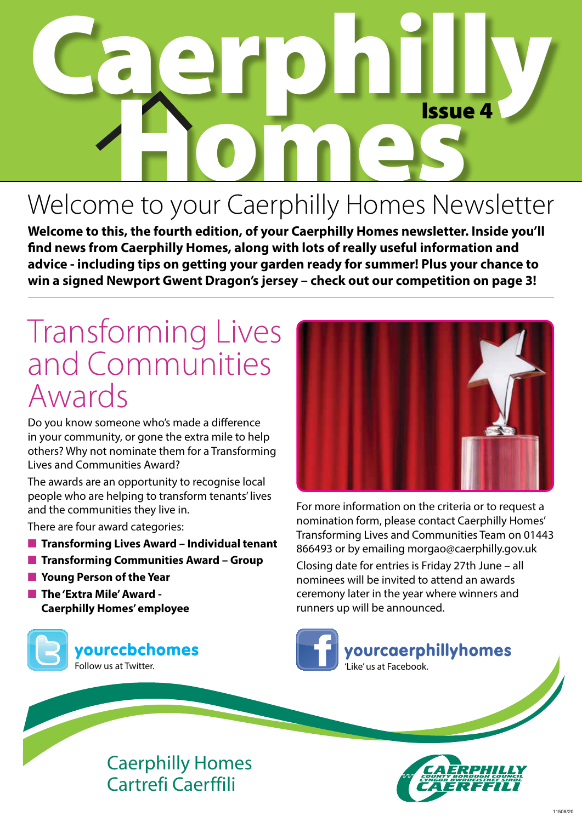# Caerphilly Issue<br>
a to voux Coorphilly Homos Not Issue 4

### Welcome to your Caerphilly Homes Newsletter

**Welcome to this, the fourth edition, of your Caerphilly Homes newsletter. Inside you'll find news from Caerphilly Homes, along with lots of really useful information and advice - including tips on getting your garden ready for summer! Plus your chance to win a signed Newport Gwent Dragon's jersey – check out our competition on page 3!**

### Transforming Lives and Communities Awards

Do you know someone who's made a difference in your community, or gone the extra mile to help others? Why not nominate them for a Transforming Lives and Communities Award?

The awards are an opportunity to recognise local people who are helping to transform tenants' lives and the communities they live in.

There are four award categories:

- **Transforming Lives Award Individual tenant**
- **Transforming Communities Award Group**
- **n** Young Person of the Year
- **n** The 'Extra Mile' Award -**Caerphilly Homes' employee**





For more information on the criteria or to request a nomination form, please contact Caerphilly Homes' Transforming Lives and Communities Team on 01443 866493 or by emailing morgao@caerphilly.gov.uk

Closing date for entries is Friday 27th June – all nominees will be invited to attend an awards ceremony later in the year where winners and runners up will be announced.





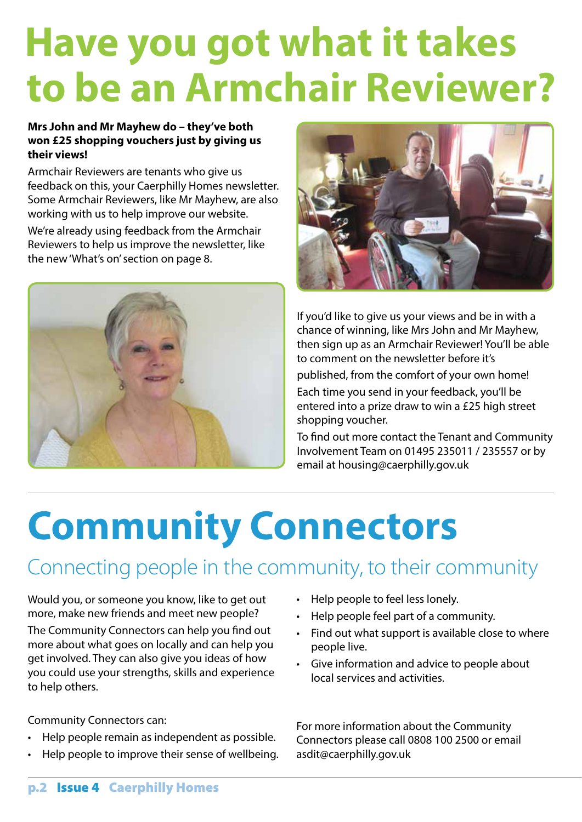## **Have you got what it takes to be an Armchair Reviewer?**

#### **Mrs John and Mr Mayhew do – they've both won £25 shopping vouchers just by giving us their views!**

Armchair Reviewers are tenants who give us feedback on this, your Caerphilly Homes newsletter. Some Armchair Reviewers, like Mr Mayhew, are also working with us to help improve our website.

We're already using feedback from the Armchair Reviewers to help us improve the newsletter, like the new 'What's on' section on page 8.





If you'd like to give us your views and be in with a chance of winning, like Mrs John and Mr Mayhew, then sign up as an Armchair Reviewer! You'll be able to comment on the newsletter before it's

published, from the comfort of your own home!

Each time you send in your feedback, you'll be entered into a prize draw to win a £25 high street shopping voucher.

To find out more contact the Tenant and Community Involvement Team on 01495 235011 / 235557 or by email at housing@caerphilly.gov.uk

## **Community Connectors**

#### Connecting people in the community, to their community

Would you, or someone you know, like to get out more, make new friends and meet new people? The Community Connectors can help you find out more about what goes on locally and can help you get involved. They can also give you ideas of how you could use your strengths, skills and experience to help others.

Community Connectors can:

- Help people remain as independent as possible.
- Help people to improve their sense of wellbeing.
- • Help people to feel less lonely.
- • Help people feel part of a community.
- Find out what support is available close to where people live.
- • Give information and advice to people about local services and activities.

For more information about the Community Connectors please call 0808 100 2500 or email asdit@caerphilly.gov.uk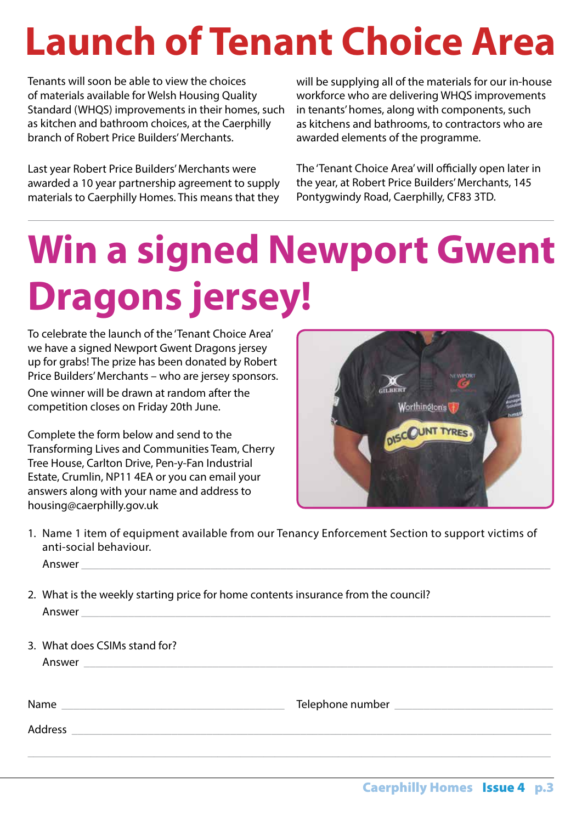## **Launch of Tenant Choice Area**

Tenants will soon be able to view the choices of materials available for Welsh Housing Quality Standard (WHQS) improvements in their homes, such as kitchen and bathroom choices, at the Caerphilly branch of Robert Price Builders' Merchants.

Last year Robert Price Builders' Merchants were awarded a 10 year partnership agreement to supply materials to Caerphilly Homes. This means that they

will be supplying all of the materials for our in-house workforce who are delivering WHQS improvements in tenants' homes, along with components, such as kitchens and bathrooms, to contractors who are awarded elements of the programme.

The 'Tenant Choice Area' will officially open later in the year, at Robert Price Builders' Merchants, 145 Pontygwindy Road, Caerphilly, CF83 3TD.

## **Win a signed Newport Gwent Dragons jersey!**

To celebrate the launch of the 'Tenant Choice Area' we have a signed Newport Gwent Dragons jersey up for grabs! The prize has been donated by Robert Price Builders'Merchants – who are jersey sponsors. One winner will be drawn at random after the competition closes on Friday 20th June.

Complete the form below and send to the Transforming Lives and Communities Team, Cherry Tree House, Carlton Drive, Pen-y-Fan Industrial Estate, Crumlin, NP11 4EA or you can email your answers along with your name and address to housing@caerphilly.gov.uk



1. Name 1 item of equipment available from our Tenancy Enforcement Section to support victims of anti-social behaviour.

 $\_$  , and the set of the set of the set of the set of the set of the set of the set of the set of the set of the set of the set of the set of the set of the set of the set of the set of the set of the set of the set of th

Answer

- 2. What is the weekly starting price for home contents insurance from the council? Answer
- 3. What does CSIMs stand for?

Answer

Name \_\_\_\_\_\_\_\_\_\_\_\_\_\_\_\_\_\_\_\_\_\_\_\_\_\_\_\_\_\_\_\_\_\_\_\_\_\_ Telephone number \_\_\_\_\_\_\_\_\_\_\_\_\_\_\_\_\_\_\_\_\_\_\_\_\_\_\_

Address **and a**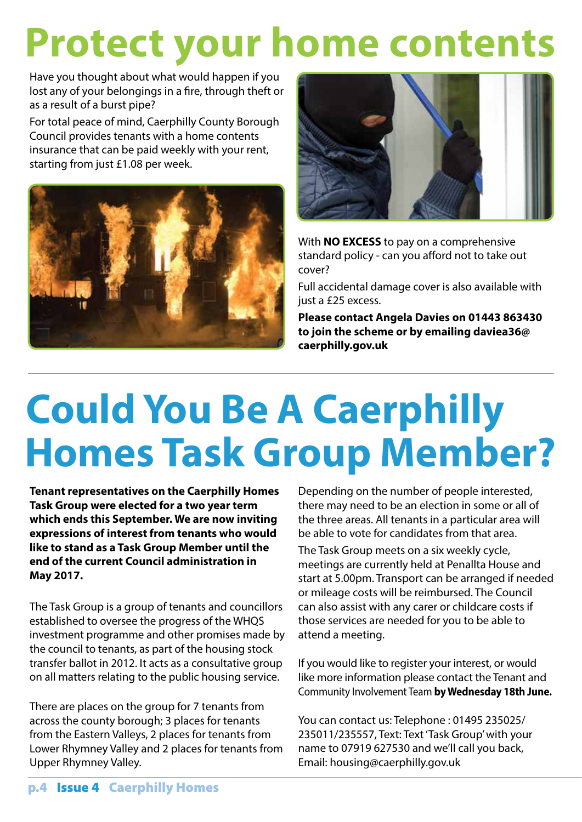## **Protect your home contents**

Have you thought about what would happen if you lost any of your belongings in a fire, through theft or as a result of a burst pipe?

For total peace of mind, Caerphilly County Borough Council provides tenants with a home contents insurance that can be paid weekly with your rent, starting from just £1.08 per week.





With **NO EXCESS** to pay on a comprehensive standard policy - can you afford not to take out cover?

Full accidental damage cover is also available with just a £25 excess.

**Please contact Angela Davies on 01443 863430 to join the scheme or by emailing daviea36@ caerphilly.gov.uk**

## **Homes Task Group Member? Could You Be A Caerphilly**

**Tenant representatives on the Caerphilly Homes Task Group were elected for a two year term which ends this September. We are now inviting expressions of interest from tenants who would like to stand as a Task Group Member until the end of the current Council administration in May 2017.**

The Task Group is a group of tenants and councillors established to oversee the progress of the WHQS investment programme and other promises made by the council to tenants, as part of the housing stock transfer ballot in 2012. It acts as a consultative group on all matters relating to the public housing service.

There are places on the group for 7 tenants from across the county borough; 3 places for tenants from the Eastern Valleys, 2 places for tenants from Lower Rhymney Valley and 2 places for tenants from Upper Rhymney Valley.

Depending on the number of people interested, there may need to be an election in some or all of the three areas. All tenants in a particular area will be able to vote for candidates from that area.

The Task Group meets on a six weekly cycle, meetings are currently held at Penallta House and start at 5.00pm. Transport can be arranged if needed or mileage costs will be reimbursed. The Council can also assist with any carer or childcare costs if those services are needed for you to be able to attend a meeting.

If you would like to register your interest, or would like more information please contact the Tenant and Community Involvement Team **by Wednesday 18th June.** 

You can contact us: Telephone : 01495 235025/ 235011/235557, Text: Text'Task Group'with your name to 07919 627530 and we'll call you back, Email: housing@caerphilly.gov.uk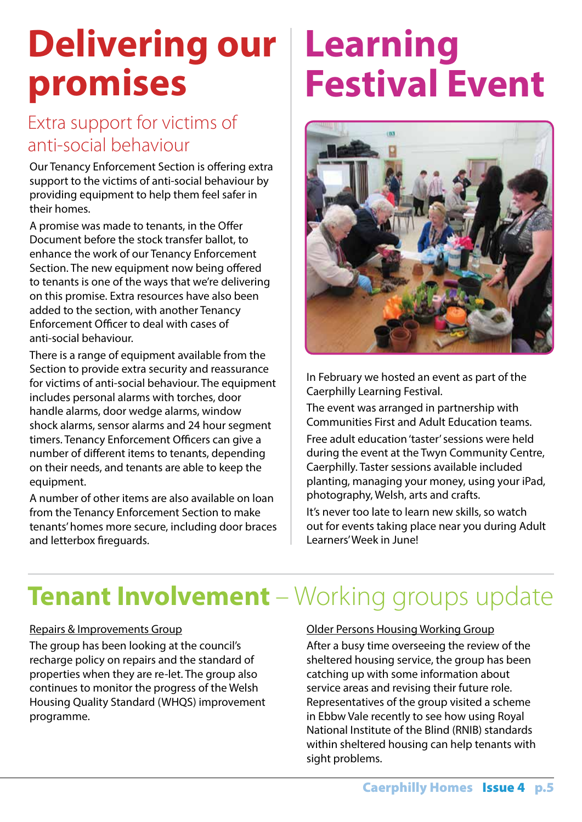### **Delivering our promises**

#### Extra support for victims of anti-social behaviour

Our Tenancy Enforcement Section is offering extra support to the victims of anti-social behaviour by providing equipment to help them feel safer in their homes.

A promise was made to tenants, in the Offer Document before the stock transfer ballot, to enhance the work of our Tenancy Enforcement Section. The new equipment now being offered to tenants is one of the ways that we're delivering on this promise. Extra resources have also been added to the section, with another Tenancy Enforcement Officer to deal with cases of anti-social behaviour.

There is a range of equipment available from the Section to provide extra security and reassurance for victims of anti-social behaviour. The equipment includes personal alarms with torches, door handle alarms, door wedge alarms, window shock alarms, sensor alarms and 24 hour segment timers. Tenancy Enforcement Officers can give a number of different items to tenants, depending on their needs, and tenants are able to keep the equipment.

A number of other items are also available on loan from the Tenancy Enforcement Section to make tenants' homes more secure, including door braces and letterbox fireguards.

### **Learning Festival Event**



In February we hosted an event as part of the Caerphilly Learning Festival.

The event was arranged in partnership with Communities First and Adult Education teams.

Free adult education 'taster' sessions were held during the event at the Twyn Community Centre, Caerphilly. Taster sessions available included planting, managing your money, using your iPad, photography, Welsh, arts and crafts.

It's never too late to learn new skills, so watch out for events taking place near you during Adult Learners' Week in June!

### **Tenant Involvement** – Working groups update

#### Repairs & Improvements Group

The group has been looking at the council's recharge policy on repairs and the standard of properties when they are re-let. The group also continues to monitor the progress of the Welsh Housing Quality Standard (WHQS) improvement programme.

#### Older Persons Housing Working Group

After a busy time overseeing the review of the sheltered housing service, the group has been catching up with some information about service areas and revising their future role. Representatives of the group visited a scheme in Ebbw Vale recently to see how using Royal National Institute of the Blind (RNIB) standards within sheltered housing can help tenants with sight problems.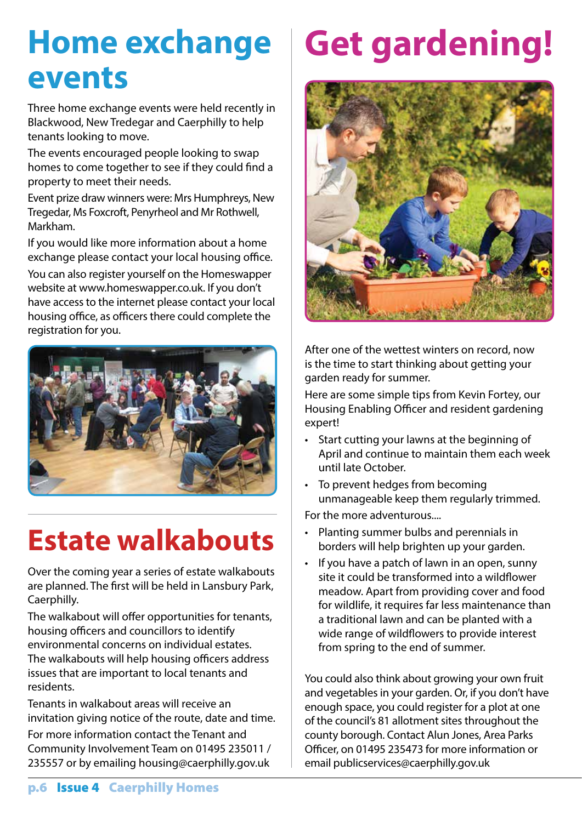### **Home exchange events**

Three home exchange events were held recently in Blackwood, New Tredegar and Caerphilly to help tenants looking to move.

The events encouraged people looking to swap homes to come together to see if they could find a property to meet their needs.

Event prize draw winners were: Mrs Humphreys, New Tregedar, Ms Foxcroft, Penyrheol and Mr Rothwell, Markham.

If you would like more information about a home exchange please contact your local housing office.

You can also register yourself on the Homeswapper website at www.homeswapper.co.uk. If you don't have access to the internet please contact your local housing office, as officers there could complete the registration for you.



### **Estate walkabouts**

Over the coming year a series of estate walkabouts are planned. The first will be held in Lansbury Park, Caerphilly.

The walkabout will offer opportunities for tenants, housing officers and councillors to identify environmental concerns on individual estates. The walkabouts will help housing officers address issues that are important to local tenants and residents.

Tenants in walkabout areas will receive an invitation giving notice of the route, date and time.

For more information contact the Tenant and Community Involvement Team on 01495 235011 / 235557 or by emailing housing@caerphilly.gov.uk

## **Get gardening!**



After one of the wettest winters on record, now is the time to start thinking about getting your garden ready for summer.

Here are some simple tips from Kevin Fortey, our Housing Enabling Officer and resident gardening expert!

- • Start cutting your lawns at the beginning of April and continue to maintain them each week until late October.
- To prevent hedges from becoming unmanageable keep them regularly trimmed.

For the more adventurous....

- • Planting summer bulbs and perennials in borders will help brighten up your garden.
- If you have a patch of lawn in an open, sunny site it could be transformed into a wildflower meadow. Apart from providing cover and food for wildlife, it requires far less maintenance than a traditional lawn and can be planted with a wide range of wildflowers to provide interest from spring to the end of summer.

You could also think about growing your own fruit and vegetables in your garden. Or, if you don't have enough space, you could register for a plot at one of the council's 81 allotment sites throughout the county borough. Contact Alun Jones, Area Parks Officer, on 01495 235473 for more information or email publicservices@caerphilly.gov.uk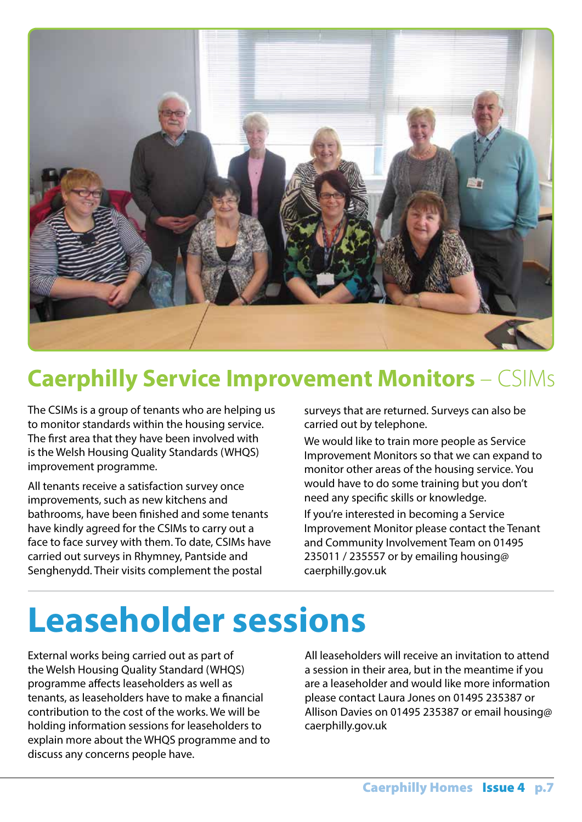

### **Caerphilly Service Improvement Monitors** – CSIMs

The CSIMs is a group of tenants who are helping us to monitor standards within the housing service. The first area that they have been involved with is the Welsh Housing Quality Standards (WHQS) improvement programme.

All tenants receive a satisfaction survey once improvements, such as new kitchens and bathrooms, have been finished and some tenants have kindly agreed for the CSIMs to carry out a face to face survey with them. To date, CSIMs have carried out surveys in Rhymney, Pantside and Senghenydd. Their visits complement the postal

surveys that are returned. Surveys can also be carried out by telephone.

We would like to train more people as Service Improvement Monitors so that we can expand to monitor other areas of the housing service. You would have to do some training but you don't need any specific skills or knowledge.

If you're interested in becoming a Service Improvement Monitor please contact the Tenant and Community Involvement Team on 01495 235011 / 235557 or by emailing housing@ caerphilly.gov.uk

### **Leaseholder sessions**

External works being carried out as part of the Welsh Housing Quality Standard (WHQS) programme affects leaseholders as well as tenants, as leaseholders have to make a financial contribution to the cost of the works. We will be holding information sessions for leaseholders to explain more about the WHQS programme and to discuss any concerns people have.

All leaseholders will receive an invitation to attend a session in their area, but in the meantime if you are a leaseholder and would like more information please contact Laura Jones on 01495 235387 or Allison Davies on 01495 235387 or email housing@ caerphilly.gov.uk